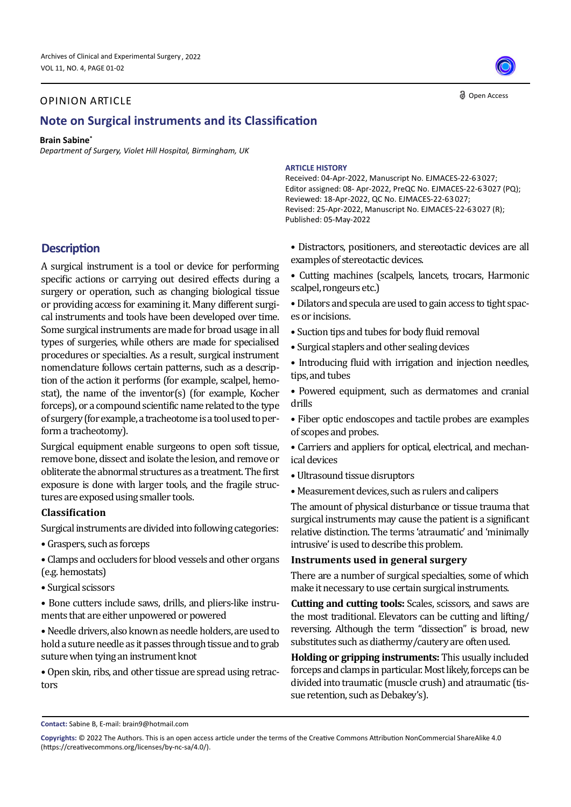## OPINION ARTICLE

# **Note on Surgical instruments and its Classification**

#### **Brain Sabine\***

*Department of Surgery, Violet Hill Hospital, Birmingham, UK*

#### **ARTICLE HISTORY**

Received: 04-Apr-2022, Manuscript No. EJMACES-22-63027; Editor assigned: 08- Apr-2022, PreQC No. EJMACES-22-63027 (PQ); Reviewed: 18-Apr-2022, QC No. EJMACES-22-63027; Revised: 25-Apr-2022, Manuscript No. EJMACES-22-63027 (R); Published: 05-May-2022

**Description**

A surgical instrument is a tool or device for performing specific actions or carrying out desired effects during a surgery or operation, such as changing biological tissue or providing access for examining it. Many different surgical instruments and tools have been developed over time. Some surgical instruments are made for broad usage in all types of surgeries, while others are made for specialised procedures or specialties. As a result, surgical instrument nomenclature follows certain patterns, such as a description of the action it performs (for example, scalpel, hemostat), the name of the inventor(s) (for example, Kocher forceps), or a compound scientific name related to the type of surgery (for example, a tracheotome is a tool used to perform a tracheotomy).

Surgical equipment enable surgeons to open soft tissue, remove bone, dissect and isolate the lesion, and remove or obliterate the abnormal structures as a treatment. The first exposure is done with larger tools, and the fragile structures are exposed using smaller tools.

### **Classification**

Surgical instruments are divided into following categories:

- Graspers, such as forceps
- Clamps and occluders for blood vessels and other organs (e.g. hemostats)
- Surgical scissors

• Bone cutters include saws, drills, and pliers-like instruments that are either unpowered or powered

• Needle drivers, also known as needle holders, are used to hold a suture needle as it passes through tissue and to grab suture when tying an instrument knot

• Open skin, ribs, and other tissue are spread using retractors

- Distractors, positioners, and stereotactic devices are all examples of stereotactic devices.
- Cutting machines (scalpels, lancets, trocars, Harmonic scalpel, rongeurs etc.)
- Dilators and specula are used to gain access to tight spaces or incisions.
- Suction tips and tubes for body fluid removal
- Surgical staplers and other sealing devices
- Introducing fluid with irrigation and injection needles, tips, and tubes
- Powered equipment, such as dermatomes and cranial drills
- Fiber optic endoscopes and tactile probes are examples of scopes and probes.
- Carriers and appliers for optical, electrical, and mechanical devices
- Ultrasound tissue disruptors
- Measurement devices, such as rulers and calipers

The amount of physical disturbance or tissue trauma that surgical instruments may cause the patient is a significant relative distinction. The terms 'atraumatic' and 'minimally intrusive' is used to describe this problem.

## **Instruments used in general surgery**

There are a number of surgical specialties, some of which make it necessary to use certain surgical instruments.

**Cutting and cutting tools:** Scales, scissors, and saws are the most traditional. Elevators can be cutting and lifting/ reversing. Although the term "dissection" is broad, new substitutes such as diathermy/cautery are often used.

**Holding or gripping instruments:** This usually included forceps and clamps in particular. Most likely, forceps can be divided into traumatic (muscle crush) and atraumatic (tissue retention, such as Debakey's).



**a** Open Access

**Contact:** Sabine B, E-mail: brain9@hotmail.com

**Copyrights:** © 2022 The Authors. This is an open access article under the terms of the Creative Commons Attribution NonCommercial ShareAlike 4.0 (https://creativecommons.org/licenses/by-nc-sa/4.0/).